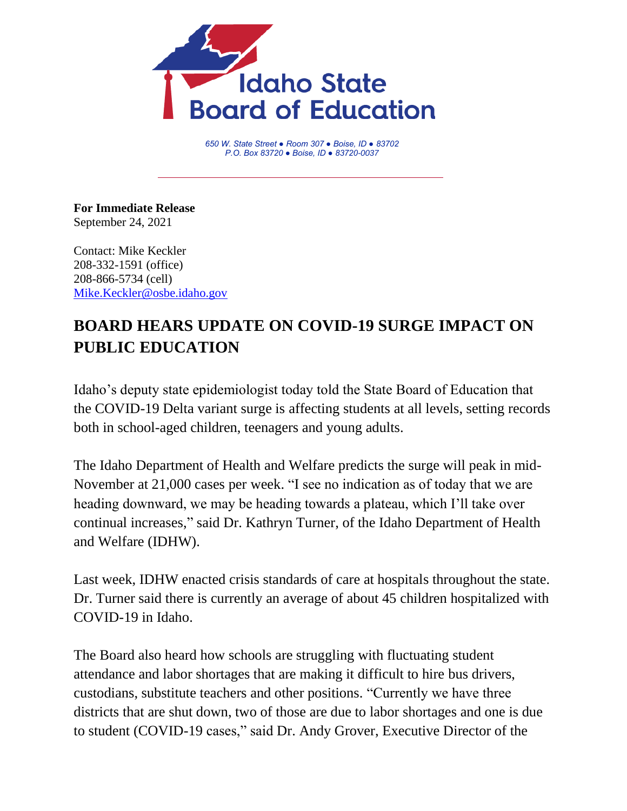

*650 W. State Street ● Room 307 ● Boise, ID ● 83702 P.O. Box 83720 ● Boise, ID ● 83720-0037*

**For Immediate Release** September 24, 2021

Contact: Mike Keckler 208-332-1591 (office) 208-866-5734 (cell) [Mike.Keckler@osbe.idaho.gov](mailto:Mike.Keckler@osbe.idaho.gov)

## **BOARD HEARS UPDATE ON COVID-19 SURGE IMPACT ON PUBLIC EDUCATION**

Idaho's deputy state epidemiologist today told the State Board of Education that the COVID-19 Delta variant surge is affecting students at all levels, setting records both in school-aged children, teenagers and young adults.

The Idaho Department of Health and Welfare predicts the surge will peak in mid-November at 21,000 cases per week. "I see no indication as of today that we are heading downward, we may be heading towards a plateau, which I'll take over continual increases," said Dr. Kathryn Turner, of the Idaho Department of Health and Welfare (IDHW).

Last week, IDHW enacted crisis standards of care at hospitals throughout the state. Dr. Turner said there is currently an average of about 45 children hospitalized with COVID-19 in Idaho.

The Board also heard how schools are struggling with fluctuating student attendance and labor shortages that are making it difficult to hire bus drivers, custodians, substitute teachers and other positions. "Currently we have three districts that are shut down, two of those are due to labor shortages and one is due to student (COVID-19 cases," said Dr. Andy Grover, Executive Director of the